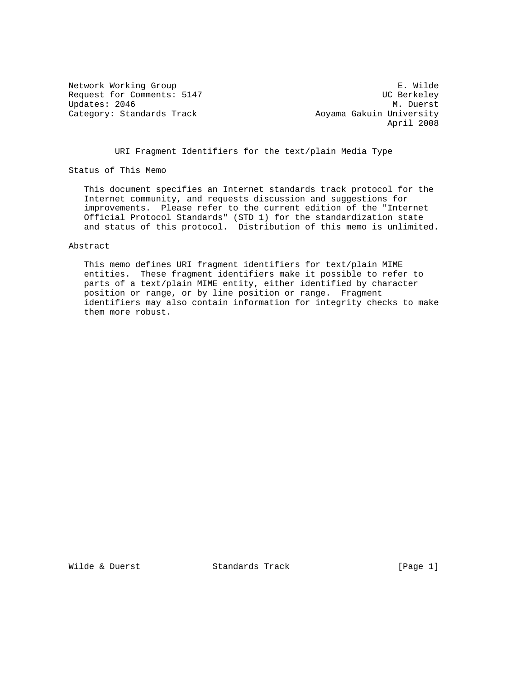Request for Comments: 5147 UC Berkeley Updates: 2046 Category: Standards Track Aoyama Gakuin University

Network Working Group and the set of the set of the set of the set of the set of the set of the set of the set o April 2008

URI Fragment Identifiers for the text/plain Media Type

Status of This Memo

 This document specifies an Internet standards track protocol for the Internet community, and requests discussion and suggestions for improvements. Please refer to the current edition of the "Internet Official Protocol Standards" (STD 1) for the standardization state and status of this protocol. Distribution of this memo is unlimited.

#### Abstract

 This memo defines URI fragment identifiers for text/plain MIME entities. These fragment identifiers make it possible to refer to parts of a text/plain MIME entity, either identified by character position or range, or by line position or range. Fragment identifiers may also contain information for integrity checks to make them more robust.

Wilde & Duerst **Standards Track** [Page 1]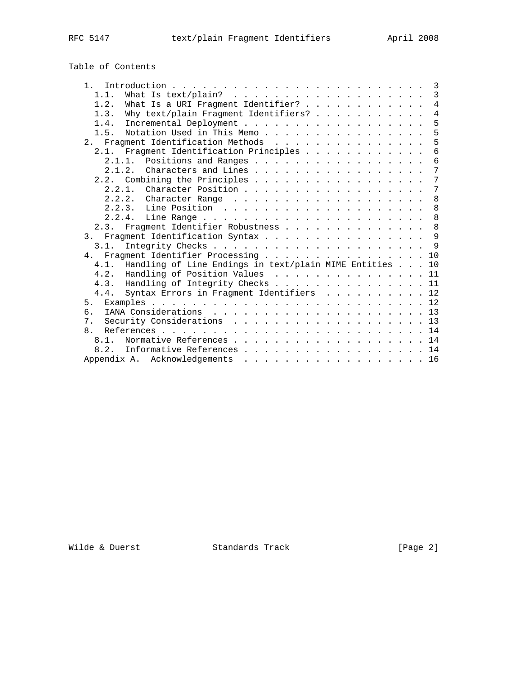## Table of Contents

| 1 <sup>1</sup>                                              |  | 3              |  |  |
|-------------------------------------------------------------|--|----------------|--|--|
| 1.1.                                                        |  | 3              |  |  |
| What Is a URI Fragment Identifier?<br>1.2.                  |  | $\overline{4}$ |  |  |
| Why text/plain Fragment Identifiers?<br>1.3.                |  | $\overline{4}$ |  |  |
| 1.4.                                                        |  | 5              |  |  |
| Notation Used in This Memo<br>1.5.                          |  | 5              |  |  |
| 2. Fragment Identification Methods                          |  | 5              |  |  |
| 2.1. Fragment Identification Principles                     |  | 6              |  |  |
| 2.1.1.<br>Positions and Ranges                              |  | 6              |  |  |
| Characters and Lines<br>$2 \t1 \t2$                         |  | 7              |  |  |
| 2.2. Combining the Principles                               |  | 7              |  |  |
| 2.2.1. Character Position                                   |  | 7              |  |  |
|                                                             |  | 8              |  |  |
|                                                             |  | 8              |  |  |
|                                                             |  | 8              |  |  |
| 2.3. Fragment Identifier Robustness                         |  | 8              |  |  |
| 3. Fragment Identification Syntax                           |  | $\mathsf{Q}$   |  |  |
| 3.1.                                                        |  | 9              |  |  |
| Fragment Identifier Processing<br>4.                        |  | 10             |  |  |
| Handling of Line Endings in text/plain MIME Entities<br>4.1 |  | 10             |  |  |
| 4.2. Handling of Position Values 11                         |  |                |  |  |
| 4.3. Handling of Integrity Checks                           |  | 11             |  |  |
| Syntax Errors in Fragment Identifiers 12<br>4.4.            |  |                |  |  |
| 5.                                                          |  |                |  |  |
| რ.                                                          |  |                |  |  |
| Security Considerations 13<br>7.                            |  |                |  |  |
| 8 <sub>1</sub>                                              |  |                |  |  |
| Normative References 14<br>8.1.                             |  |                |  |  |
| Informative References 14<br>8.2.                           |  |                |  |  |
| Appendix A. Acknowledgements<br>. 16                        |  |                |  |  |
|                                                             |  |                |  |  |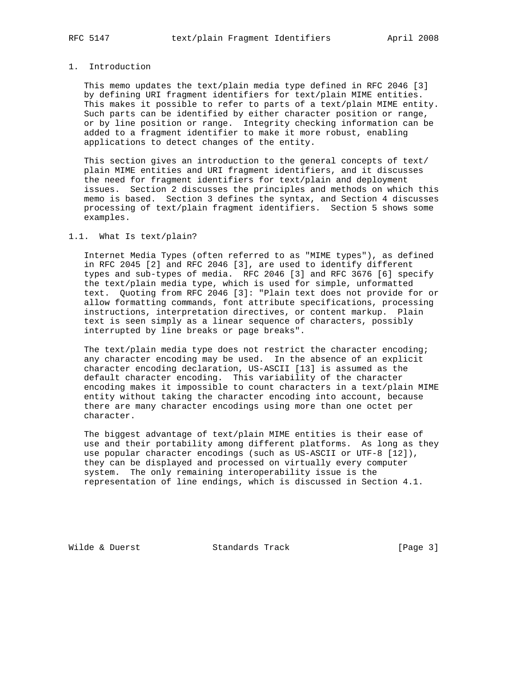## 1. Introduction

 This memo updates the text/plain media type defined in RFC 2046 [3] by defining URI fragment identifiers for text/plain MIME entities. This makes it possible to refer to parts of a text/plain MIME entity. Such parts can be identified by either character position or range, or by line position or range. Integrity checking information can be added to a fragment identifier to make it more robust, enabling applications to detect changes of the entity.

 This section gives an introduction to the general concepts of text/ plain MIME entities and URI fragment identifiers, and it discusses the need for fragment identifiers for text/plain and deployment issues. Section 2 discusses the principles and methods on which this memo is based. Section 3 defines the syntax, and Section 4 discusses processing of text/plain fragment identifiers. Section 5 shows some examples.

#### 1.1. What Is text/plain?

 Internet Media Types (often referred to as "MIME types"), as defined in RFC 2045 [2] and RFC 2046 [3], are used to identify different types and sub-types of media. RFC 2046 [3] and RFC 3676 [6] specify the text/plain media type, which is used for simple, unformatted text. Quoting from RFC 2046 [3]: "Plain text does not provide for or allow formatting commands, font attribute specifications, processing instructions, interpretation directives, or content markup. Plain text is seen simply as a linear sequence of characters, possibly interrupted by line breaks or page breaks".

 The text/plain media type does not restrict the character encoding; any character encoding may be used. In the absence of an explicit character encoding declaration, US-ASCII [13] is assumed as the default character encoding. This variability of the character encoding makes it impossible to count characters in a text/plain MIME entity without taking the character encoding into account, because there are many character encodings using more than one octet per character.

 The biggest advantage of text/plain MIME entities is their ease of use and their portability among different platforms. As long as they use popular character encodings (such as US-ASCII or UTF-8 [12]), they can be displayed and processed on virtually every computer system. The only remaining interoperability issue is the representation of line endings, which is discussed in Section 4.1.

Wilde & Duerst **Standards Track** [Page 3]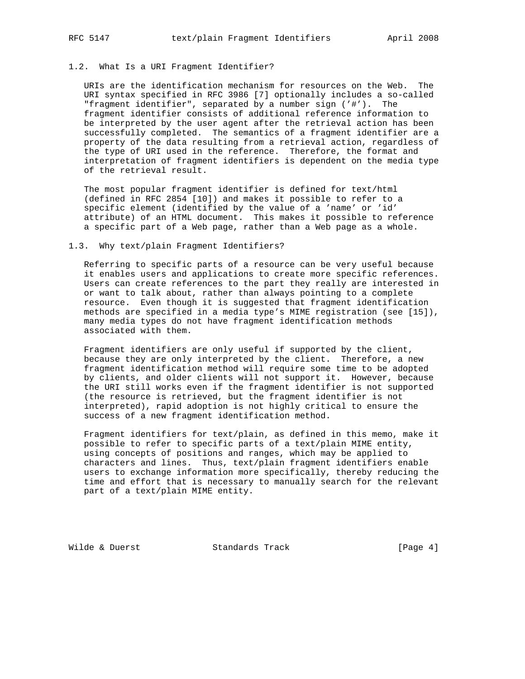#### 1.2. What Is a URI Fragment Identifier?

 URIs are the identification mechanism for resources on the Web. The URI syntax specified in RFC 3986 [7] optionally includes a so-called "fragment identifier", separated by a number sign ('#'). The fragment identifier consists of additional reference information to be interpreted by the user agent after the retrieval action has been successfully completed. The semantics of a fragment identifier are a property of the data resulting from a retrieval action, regardless of the type of URI used in the reference. Therefore, the format and interpretation of fragment identifiers is dependent on the media type of the retrieval result.

 The most popular fragment identifier is defined for text/html (defined in RFC 2854 [10]) and makes it possible to refer to a specific element (identified by the value of a 'name' or 'id' attribute) of an HTML document. This makes it possible to reference a specific part of a Web page, rather than a Web page as a whole.

#### 1.3. Why text/plain Fragment Identifiers?

 Referring to specific parts of a resource can be very useful because it enables users and applications to create more specific references. Users can create references to the part they really are interested in or want to talk about, rather than always pointing to a complete resource. Even though it is suggested that fragment identification methods are specified in a media type's MIME registration (see [15]), many media types do not have fragment identification methods associated with them.

 Fragment identifiers are only useful if supported by the client, because they are only interpreted by the client. Therefore, a new fragment identification method will require some time to be adopted by clients, and older clients will not support it. However, because the URI still works even if the fragment identifier is not supported (the resource is retrieved, but the fragment identifier is not interpreted), rapid adoption is not highly critical to ensure the success of a new fragment identification method.

 Fragment identifiers for text/plain, as defined in this memo, make it possible to refer to specific parts of a text/plain MIME entity, using concepts of positions and ranges, which may be applied to characters and lines. Thus, text/plain fragment identifiers enable users to exchange information more specifically, thereby reducing the time and effort that is necessary to manually search for the relevant part of a text/plain MIME entity.

Wilde & Duerst **Standards Track** [Page 4]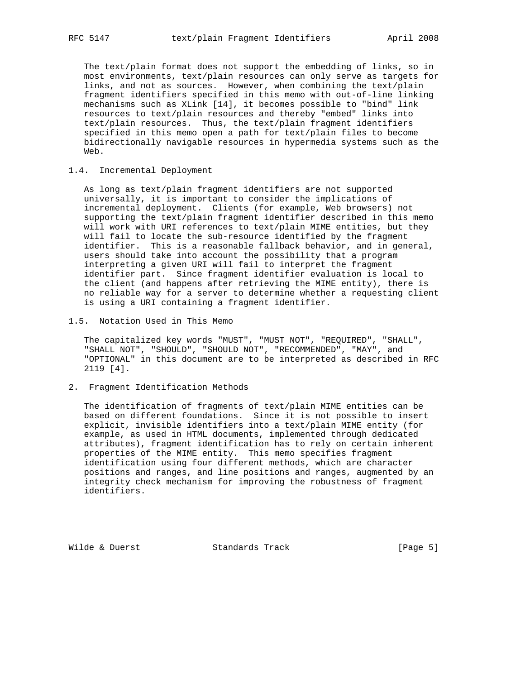The text/plain format does not support the embedding of links, so in most environments, text/plain resources can only serve as targets for links, and not as sources. However, when combining the text/plain fragment identifiers specified in this memo with out-of-line linking mechanisms such as XLink [14], it becomes possible to "bind" link resources to text/plain resources and thereby "embed" links into text/plain resources. Thus, the text/plain fragment identifiers specified in this memo open a path for text/plain files to become bidirectionally navigable resources in hypermedia systems such as the Web.

#### 1.4. Incremental Deployment

 As long as text/plain fragment identifiers are not supported universally, it is important to consider the implications of incremental deployment. Clients (for example, Web browsers) not supporting the text/plain fragment identifier described in this memo will work with URI references to text/plain MIME entities, but they will fail to locate the sub-resource identified by the fragment identifier. This is a reasonable fallback behavior, and in general, users should take into account the possibility that a program interpreting a given URI will fail to interpret the fragment identifier part. Since fragment identifier evaluation is local to the client (and happens after retrieving the MIME entity), there is no reliable way for a server to determine whether a requesting client is using a URI containing a fragment identifier.

1.5. Notation Used in This Memo

 The capitalized key words "MUST", "MUST NOT", "REQUIRED", "SHALL", "SHALL NOT", "SHOULD", "SHOULD NOT", "RECOMMENDED", "MAY", and "OPTIONAL" in this document are to be interpreted as described in RFC 2119 [4].

2. Fragment Identification Methods

 The identification of fragments of text/plain MIME entities can be based on different foundations. Since it is not possible to insert explicit, invisible identifiers into a text/plain MIME entity (for example, as used in HTML documents, implemented through dedicated attributes), fragment identification has to rely on certain inherent properties of the MIME entity. This memo specifies fragment identification using four different methods, which are character positions and ranges, and line positions and ranges, augmented by an integrity check mechanism for improving the robustness of fragment identifiers.

Wilde & Duerst Standards Track [Page 5]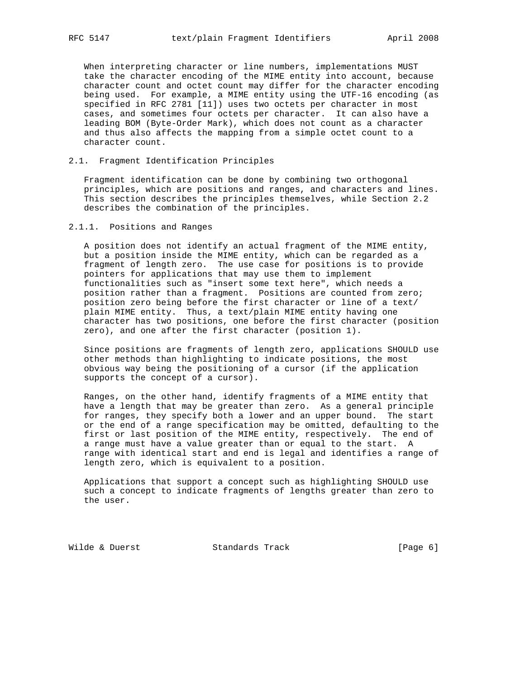When interpreting character or line numbers, implementations MUST take the character encoding of the MIME entity into account, because character count and octet count may differ for the character encoding being used. For example, a MIME entity using the UTF-16 encoding (as specified in RFC 2781 [11]) uses two octets per character in most cases, and sometimes four octets per character. It can also have a leading BOM (Byte-Order Mark), which does not count as a character and thus also affects the mapping from a simple octet count to a character count.

#### 2.1. Fragment Identification Principles

 Fragment identification can be done by combining two orthogonal principles, which are positions and ranges, and characters and lines. This section describes the principles themselves, while Section 2.2 describes the combination of the principles.

## 2.1.1. Positions and Ranges

 A position does not identify an actual fragment of the MIME entity, but a position inside the MIME entity, which can be regarded as a fragment of length zero. The use case for positions is to provide pointers for applications that may use them to implement functionalities such as "insert some text here", which needs a position rather than a fragment. Positions are counted from zero; position zero being before the first character or line of a text/ plain MIME entity. Thus, a text/plain MIME entity having one character has two positions, one before the first character (position zero), and one after the first character (position 1).

 Since positions are fragments of length zero, applications SHOULD use other methods than highlighting to indicate positions, the most obvious way being the positioning of a cursor (if the application supports the concept of a cursor).

 Ranges, on the other hand, identify fragments of a MIME entity that have a length that may be greater than zero. As a general principle for ranges, they specify both a lower and an upper bound. The start or the end of a range specification may be omitted, defaulting to the first or last position of the MIME entity, respectively. The end of a range must have a value greater than or equal to the start. A range with identical start and end is legal and identifies a range of length zero, which is equivalent to a position.

 Applications that support a concept such as highlighting SHOULD use such a concept to indicate fragments of lengths greater than zero to the user.

Wilde & Duerst **Standards Track** [Page 6]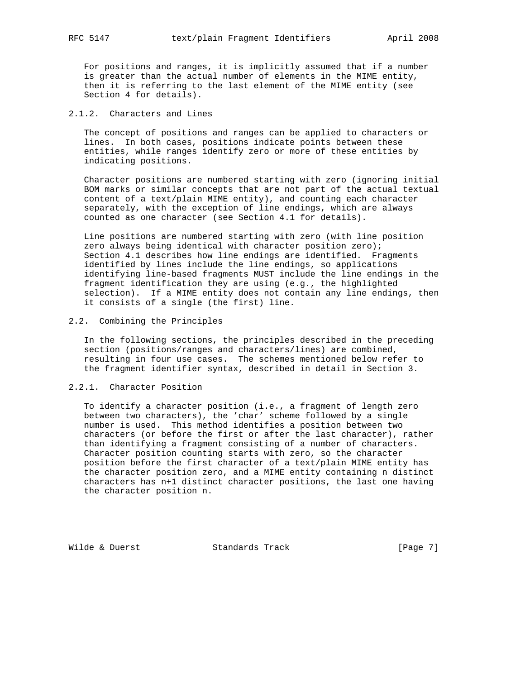For positions and ranges, it is implicitly assumed that if a number is greater than the actual number of elements in the MIME entity, then it is referring to the last element of the MIME entity (see Section 4 for details).

## 2.1.2. Characters and Lines

 The concept of positions and ranges can be applied to characters or lines. In both cases, positions indicate points between these entities, while ranges identify zero or more of these entities by indicating positions.

 Character positions are numbered starting with zero (ignoring initial BOM marks or similar concepts that are not part of the actual textual content of a text/plain MIME entity), and counting each character separately, with the exception of line endings, which are always counted as one character (see Section 4.1 for details).

 Line positions are numbered starting with zero (with line position zero always being identical with character position zero); Section 4.1 describes how line endings are identified. Fragments identified by lines include the line endings, so applications identifying line-based fragments MUST include the line endings in the fragment identification they are using (e.g., the highlighted selection). If a MIME entity does not contain any line endings, then it consists of a single (the first) line.

#### 2.2. Combining the Principles

 In the following sections, the principles described in the preceding section (positions/ranges and characters/lines) are combined, resulting in four use cases. The schemes mentioned below refer to the fragment identifier syntax, described in detail in Section 3.

## 2.2.1. Character Position

 To identify a character position (i.e., a fragment of length zero between two characters), the 'char' scheme followed by a single number is used. This method identifies a position between two characters (or before the first or after the last character), rather than identifying a fragment consisting of a number of characters. Character position counting starts with zero, so the character position before the first character of a text/plain MIME entity has the character position zero, and a MIME entity containing n distinct characters has n+1 distinct character positions, the last one having the character position n.

Wilde & Duerst **Standards Track** [Page 7]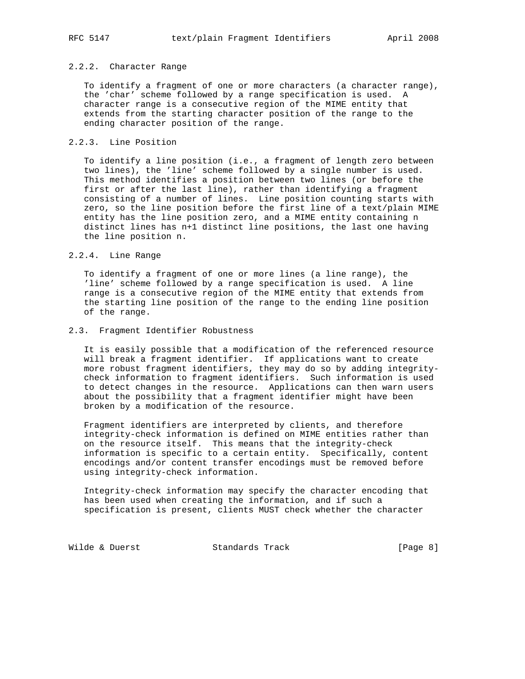#### 2.2.2. Character Range

 To identify a fragment of one or more characters (a character range), the 'char' scheme followed by a range specification is used. A character range is a consecutive region of the MIME entity that extends from the starting character position of the range to the ending character position of the range.

#### 2.2.3. Line Position

 To identify a line position (i.e., a fragment of length zero between two lines), the 'line' scheme followed by a single number is used. This method identifies a position between two lines (or before the first or after the last line), rather than identifying a fragment consisting of a number of lines. Line position counting starts with zero, so the line position before the first line of a text/plain MIME entity has the line position zero, and a MIME entity containing n distinct lines has n+1 distinct line positions, the last one having the line position n.

#### 2.2.4. Line Range

 To identify a fragment of one or more lines (a line range), the 'line' scheme followed by a range specification is used. A line range is a consecutive region of the MIME entity that extends from the starting line position of the range to the ending line position of the range.

#### 2.3. Fragment Identifier Robustness

 It is easily possible that a modification of the referenced resource will break a fragment identifier. If applications want to create more robust fragment identifiers, they may do so by adding integrity check information to fragment identifiers. Such information is used to detect changes in the resource. Applications can then warn users about the possibility that a fragment identifier might have been broken by a modification of the resource.

 Fragment identifiers are interpreted by clients, and therefore integrity-check information is defined on MIME entities rather than on the resource itself. This means that the integrity-check information is specific to a certain entity. Specifically, content encodings and/or content transfer encodings must be removed before using integrity-check information.

 Integrity-check information may specify the character encoding that has been used when creating the information, and if such a specification is present, clients MUST check whether the character

Wilde & Duerst **Standards Track** [Page 8]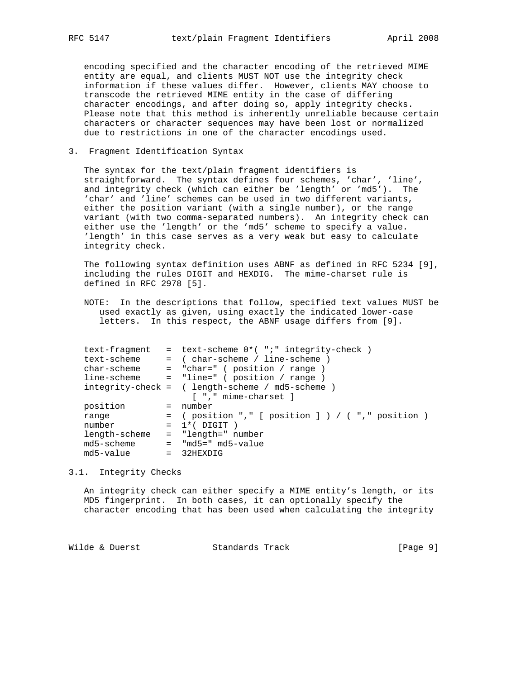encoding specified and the character encoding of the retrieved MIME entity are equal, and clients MUST NOT use the integrity check information if these values differ. However, clients MAY choose to transcode the retrieved MIME entity in the case of differing character encodings, and after doing so, apply integrity checks. Please note that this method is inherently unreliable because certain characters or character sequences may have been lost or normalized due to restrictions in one of the character encodings used.

## 3. Fragment Identification Syntax

 The syntax for the text/plain fragment identifiers is straightforward. The syntax defines four schemes, 'char', 'line', and integrity check (which can either be 'length' or 'md5'). The 'char' and 'line' schemes can be used in two different variants, either the position variant (with a single number), or the range variant (with two comma-separated numbers). An integrity check can either use the 'length' or the 'md5' scheme to specify a value. 'length' in this case serves as a very weak but easy to calculate integrity check.

 The following syntax definition uses ABNF as defined in RFC 5234 [9], including the rules DIGIT and HEXDIG. The mime-charset rule is defined in RFC 2978 [5].

 NOTE: In the descriptions that follow, specified text values MUST be used exactly as given, using exactly the indicated lower-case letters. In this respect, the ABNF usage differs from [9].

| text-fragment |                          | = text-scheme $0^*$ ( ";" integrity-check )         |
|---------------|--------------------------|-----------------------------------------------------|
|               |                          | $=$ (char-scheme / line-scheme )                    |
| char-scheme   |                          | = "char=" ( position / range                        |
| line-scheme   |                          | = "line=" ( position / range                        |
|               |                          | $integrity-check = (length-scheme / md5-scheme)$    |
|               |                          | [ "," mime-charset ]                                |
| position      |                          | = number                                            |
| range         |                          | $=$ (position "," [ position ] ) / ( "," position ) |
| number        |                          | $= 1$ *(DIGIT                                       |
| length-scheme |                          | = "length=" number                                  |
| md5-scheme    |                          | $=$ "md5=" md5-value                                |
|               |                          | $= 32$ HEXDIG                                       |
|               | text-scheme<br>md5-value |                                                     |

#### 3.1. Integrity Checks

 An integrity check can either specify a MIME entity's length, or its MD5 fingerprint. In both cases, it can optionally specify the character encoding that has been used when calculating the integrity

Wilde & Duerst **Standards Track** [Page 9]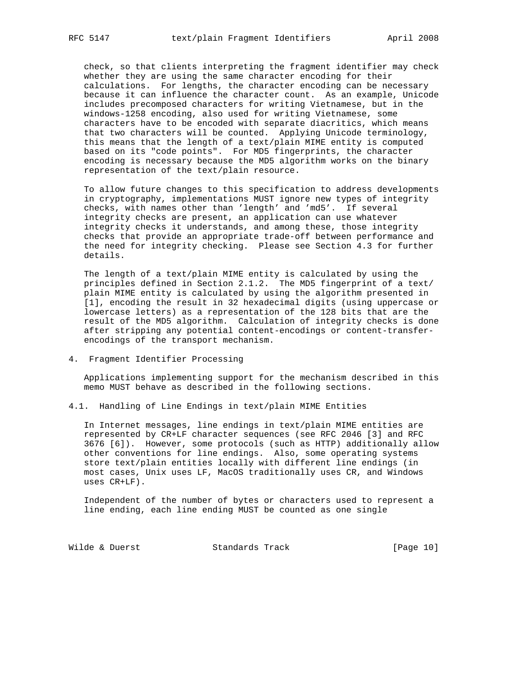check, so that clients interpreting the fragment identifier may check whether they are using the same character encoding for their calculations. For lengths, the character encoding can be necessary because it can influence the character count. As an example, Unicode includes precomposed characters for writing Vietnamese, but in the windows-1258 encoding, also used for writing Vietnamese, some characters have to be encoded with separate diacritics, which means that two characters will be counted. Applying Unicode terminology, this means that the length of a text/plain MIME entity is computed based on its "code points". For MD5 fingerprints, the character encoding is necessary because the MD5 algorithm works on the binary representation of the text/plain resource.

 To allow future changes to this specification to address developments in cryptography, implementations MUST ignore new types of integrity checks, with names other than 'length' and 'md5'. If several integrity checks are present, an application can use whatever integrity checks it understands, and among these, those integrity checks that provide an appropriate trade-off between performance and the need for integrity checking. Please see Section 4.3 for further details.

 The length of a text/plain MIME entity is calculated by using the principles defined in Section 2.1.2. The MD5 fingerprint of a text/ plain MIME entity is calculated by using the algorithm presented in [1], encoding the result in 32 hexadecimal digits (using uppercase or lowercase letters) as a representation of the 128 bits that are the result of the MD5 algorithm. Calculation of integrity checks is done after stripping any potential content-encodings or content-transfer encodings of the transport mechanism.

4. Fragment Identifier Processing

 Applications implementing support for the mechanism described in this memo MUST behave as described in the following sections.

4.1. Handling of Line Endings in text/plain MIME Entities

 In Internet messages, line endings in text/plain MIME entities are represented by CR+LF character sequences (see RFC 2046 [3] and RFC 3676 [6]). However, some protocols (such as HTTP) additionally allow other conventions for line endings. Also, some operating systems store text/plain entities locally with different line endings (in most cases, Unix uses LF, MacOS traditionally uses CR, and Windows uses CR+LF).

 Independent of the number of bytes or characters used to represent a line ending, each line ending MUST be counted as one single

Wilde & Duerst Standards Track [Page 10]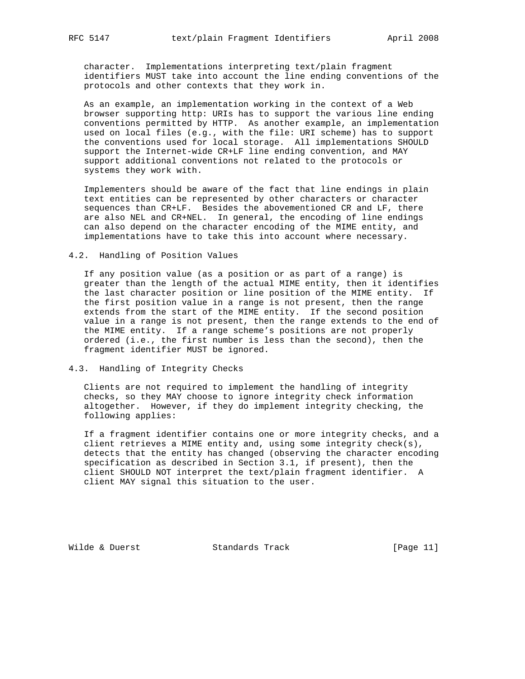character. Implementations interpreting text/plain fragment identifiers MUST take into account the line ending conventions of the protocols and other contexts that they work in.

 As an example, an implementation working in the context of a Web browser supporting http: URIs has to support the various line ending conventions permitted by HTTP. As another example, an implementation used on local files (e.g., with the file: URI scheme) has to support the conventions used for local storage. All implementations SHOULD support the Internet-wide CR+LF line ending convention, and MAY support additional conventions not related to the protocols or systems they work with.

 Implementers should be aware of the fact that line endings in plain text entities can be represented by other characters or character sequences than CR+LF. Besides the abovementioned CR and LF, there are also NEL and CR+NEL. In general, the encoding of line endings can also depend on the character encoding of the MIME entity, and implementations have to take this into account where necessary.

#### 4.2. Handling of Position Values

 If any position value (as a position or as part of a range) is greater than the length of the actual MIME entity, then it identifies the last character position or line position of the MIME entity. If the first position value in a range is not present, then the range extends from the start of the MIME entity. If the second position value in a range is not present, then the range extends to the end of the MIME entity. If a range scheme's positions are not properly ordered (i.e., the first number is less than the second), then the fragment identifier MUST be ignored.

## 4.3. Handling of Integrity Checks

 Clients are not required to implement the handling of integrity checks, so they MAY choose to ignore integrity check information altogether. However, if they do implement integrity checking, the following applies:

 If a fragment identifier contains one or more integrity checks, and a client retrieves a MIME entity and, using some integrity check(s), detects that the entity has changed (observing the character encoding specification as described in Section 3.1, if present), then the client SHOULD NOT interpret the text/plain fragment identifier. A client MAY signal this situation to the user.

Wilde & Duerst Standards Track [Page 11]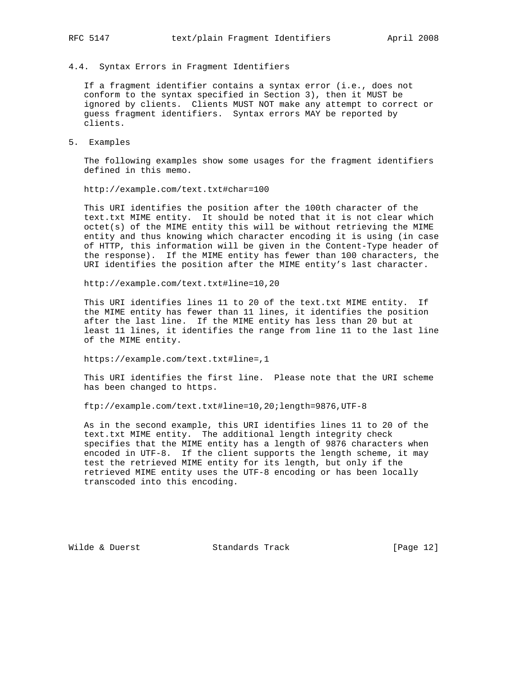# 4.4. Syntax Errors in Fragment Identifiers

 If a fragment identifier contains a syntax error (i.e., does not conform to the syntax specified in Section 3), then it MUST be ignored by clients. Clients MUST NOT make any attempt to correct or guess fragment identifiers. Syntax errors MAY be reported by clients.

5. Examples

 The following examples show some usages for the fragment identifiers defined in this memo.

http://example.com/text.txt#char=100

 This URI identifies the position after the 100th character of the text.txt MIME entity. It should be noted that it is not clear which octet(s) of the MIME entity this will be without retrieving the MIME entity and thus knowing which character encoding it is using (in case of HTTP, this information will be given in the Content-Type header of the response). If the MIME entity has fewer than 100 characters, the URI identifies the position after the MIME entity's last character.

http://example.com/text.txt#line=10,20

 This URI identifies lines 11 to 20 of the text.txt MIME entity. If the MIME entity has fewer than 11 lines, it identifies the position after the last line. If the MIME entity has less than 20 but at least 11 lines, it identifies the range from line 11 to the last line of the MIME entity.

https://example.com/text.txt#line=,1

 This URI identifies the first line. Please note that the URI scheme has been changed to https.

ftp://example.com/text.txt#line=10,20;length=9876,UTF-8

 As in the second example, this URI identifies lines 11 to 20 of the text.txt MIME entity. The additional length integrity check specifies that the MIME entity has a length of 9876 characters when encoded in UTF-8. If the client supports the length scheme, it may test the retrieved MIME entity for its length, but only if the retrieved MIME entity uses the UTF-8 encoding or has been locally transcoded into this encoding.

Wilde & Duerst Standards Track [Page 12]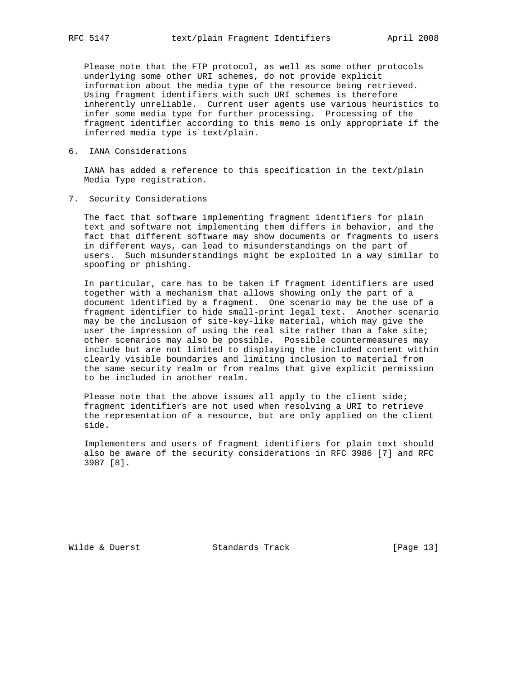Please note that the FTP protocol, as well as some other protocols underlying some other URI schemes, do not provide explicit information about the media type of the resource being retrieved. Using fragment identifiers with such URI schemes is therefore inherently unreliable. Current user agents use various heuristics to infer some media type for further processing. Processing of the fragment identifier according to this memo is only appropriate if the inferred media type is text/plain.

6. IANA Considerations

 IANA has added a reference to this specification in the text/plain Media Type registration.

7. Security Considerations

 The fact that software implementing fragment identifiers for plain text and software not implementing them differs in behavior, and the fact that different software may show documents or fragments to users in different ways, can lead to misunderstandings on the part of users. Such misunderstandings might be exploited in a way similar to spoofing or phishing.

 In particular, care has to be taken if fragment identifiers are used together with a mechanism that allows showing only the part of a document identified by a fragment. One scenario may be the use of a fragment identifier to hide small-print legal text. Another scenario may be the inclusion of site-key-like material, which may give the user the impression of using the real site rather than a fake site; other scenarios may also be possible. Possible countermeasures may include but are not limited to displaying the included content within clearly visible boundaries and limiting inclusion to material from the same security realm or from realms that give explicit permission to be included in another realm.

Please note that the above issues all apply to the client side; fragment identifiers are not used when resolving a URI to retrieve the representation of a resource, but are only applied on the client side.

 Implementers and users of fragment identifiers for plain text should also be aware of the security considerations in RFC 3986 [7] and RFC 3987 [8].

Wilde & Duerst Standards Track [Page 13]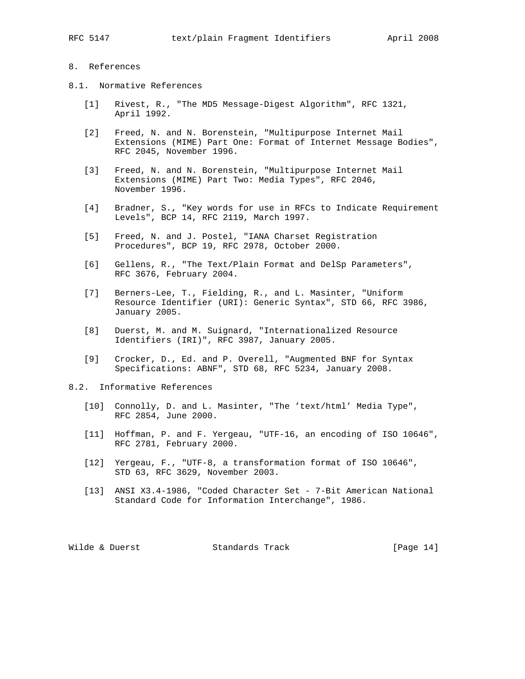## 8. References

- 8.1. Normative References
	- [1] Rivest, R., "The MD5 Message-Digest Algorithm", RFC 1321, April 1992.
	- [2] Freed, N. and N. Borenstein, "Multipurpose Internet Mail Extensions (MIME) Part One: Format of Internet Message Bodies", RFC 2045, November 1996.
	- [3] Freed, N. and N. Borenstein, "Multipurpose Internet Mail Extensions (MIME) Part Two: Media Types", RFC 2046, November 1996.
	- [4] Bradner, S., "Key words for use in RFCs to Indicate Requirement Levels", BCP 14, RFC 2119, March 1997.
	- [5] Freed, N. and J. Postel, "IANA Charset Registration Procedures", BCP 19, RFC 2978, October 2000.
	- [6] Gellens, R., "The Text/Plain Format and DelSp Parameters", RFC 3676, February 2004.
	- [7] Berners-Lee, T., Fielding, R., and L. Masinter, "Uniform Resource Identifier (URI): Generic Syntax", STD 66, RFC 3986, January 2005.
	- [8] Duerst, M. and M. Suignard, "Internationalized Resource Identifiers (IRI)", RFC 3987, January 2005.
	- [9] Crocker, D., Ed. and P. Overell, "Augmented BNF for Syntax Specifications: ABNF", STD 68, RFC 5234, January 2008.
- 8.2. Informative References
	- [10] Connolly, D. and L. Masinter, "The 'text/html' Media Type", RFC 2854, June 2000.
	- [11] Hoffman, P. and F. Yergeau, "UTF-16, an encoding of ISO 10646", RFC 2781, February 2000.
	- [12] Yergeau, F., "UTF-8, a transformation format of ISO 10646", STD 63, RFC 3629, November 2003.
	- [13] ANSI X3.4-1986, "Coded Character Set 7-Bit American National Standard Code for Information Interchange", 1986.

Wilde & Duerst Standards Track [Page 14]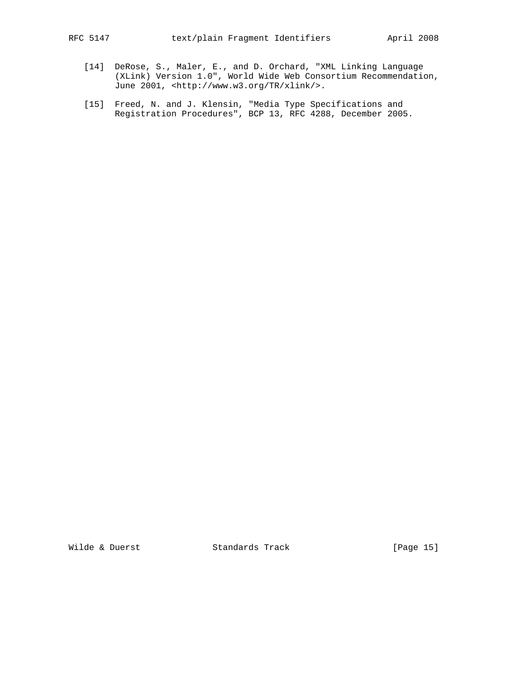- [14] DeRose, S., Maler, E., and D. Orchard, "XML Linking Language (XLink) Version 1.0", World Wide Web Consortium Recommendation, June 2001, <http://www.w3.org/TR/xlink/>.
- [15] Freed, N. and J. Klensin, "Media Type Specifications and Registration Procedures", BCP 13, RFC 4288, December 2005.

Wilde & Duerst **Standards Track** [Page 15]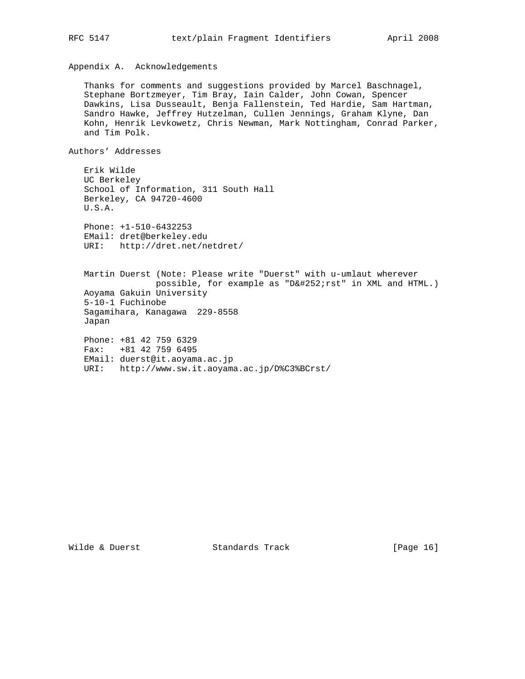Appendix A. Acknowledgements

 Thanks for comments and suggestions provided by Marcel Baschnagel, Stephane Bortzmeyer, Tim Bray, Iain Calder, John Cowan, Spencer Dawkins, Lisa Dusseault, Benja Fallenstein, Ted Hardie, Sam Hartman, Sandro Hawke, Jeffrey Hutzelman, Cullen Jennings, Graham Klyne, Dan Kohn, Henrik Levkowetz, Chris Newman, Mark Nottingham, Conrad Parker, and Tim Polk.

Authors' Addresses

 Erik Wilde UC Berkeley School of Information, 311 South Hall Berkeley, CA 94720-4600 U.S.A. Phone: +1-510-6432253 EMail: dret@berkeley.edu URI: http://dret.net/netdret/ Martin Duerst (Note: Please write "Duerst" with u-umlaut wherever possible, for example as "Dü rst" in XML and HTML.) Aoyama Gakuin University 5-10-1 Fuchinobe Sagamihara, Kanagawa 229-8558 Japan Phone: +81 42 759 6329 Fax: +81 42 759 6495 EMail: duerst@it.aoyama.ac.jp URI: http://www.sw.it.aoyama.ac.jp/D%C3%BCrst/

Wilde & Duerst Standards Track [Page 16]